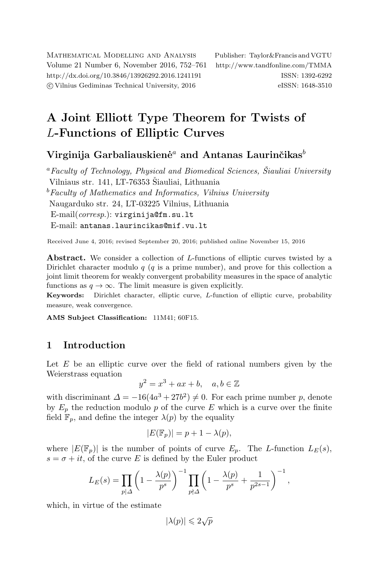Mathematical Modelling and Analysis Publisher: Taylor&Francis and VGTU Volume 21 Number 6, November 2016, 752–761 <http://www.tandfonline.com/TMMA> <http://dx.doi.org/10.3846/13926292.2016.1241191> ISSN: 1392-6292 c Vilnius Gediminas Technical University, 2016 eISSN: 1648-3510

# A Joint Elliott Type Theorem for Twists of L-Functions of Elliptic Curves

## Virginija Garbaliauskienė<sup>a</sup> and Antanas Laurinčikas<sup>b</sup>

 ${}^a$  Faculty of Technology, Physical and Biomedical Sciences, Šiauliai University Vilniaus str. 141, LT-76353 Šiauliai, Lithuania  $b$ Faculty of Mathematics and Informatics, Vilnius University Naugarduko str. 24, LT-03225 Vilnius, Lithuania E-mail(corresp.): [virginija@fm.su.lt](mailto:virginija@fm.su.lt) E-mail: [antanas.laurincikas@mif.vu.lt](mailto:antanas.laurincikas@mif.vu.lt)

Received June 4, 2016; revised September 20, 2016; published online November 15, 2016

Abstract. We consider a collection of L-functions of elliptic curves twisted by a Dirichlet character modulo  $q$  ( $q$  is a prime number), and prove for this collection a joint limit theorem for weakly convergent probability measures in the space of analytic functions as  $q \to \infty$ . The limit measure is given explicitly.

Keywords: Dirichlet character, elliptic curve, L-function of elliptic curve, probability measure, weak convergence.

AMS Subject Classification: 11M41; 60F15.

## 1 Introduction

Let  $E$  be an elliptic curve over the field of rational numbers given by the Weierstrass equation

$$
y^2 = x^3 + ax + b, \quad a, b \in \mathbb{Z}
$$

with discriminant  $\Delta = -16(4a^3 + 27b^2) \neq 0$ . For each prime number p, denote by  $E_p$  the reduction modulo p of the curve E which is a curve over the finite field  $\mathbb{F}_p$ , and define the integer  $\lambda(p)$  by the equality

$$
|E(\mathbb{F}_p)| = p + 1 - \lambda(p),
$$

where  $|E(\mathbb{F}_n)|$  is the number of points of curve  $E_n$ . The L-function  $L_E(s)$ ,  $s = \sigma + it$ , of the curve E is defined by the Euler product

$$
L_E(s) = \prod_{p|\Delta} \left(1 - \frac{\lambda(p)}{p^s}\right)^{-1} \prod_{p\nmid\Delta} \left(1 - \frac{\lambda(p)}{p^s} + \frac{1}{p^{2s-1}}\right)^{-1},
$$

which, in virtue of the estimate

$$
|\lambda(p)|\leqslant 2\sqrt{p}
$$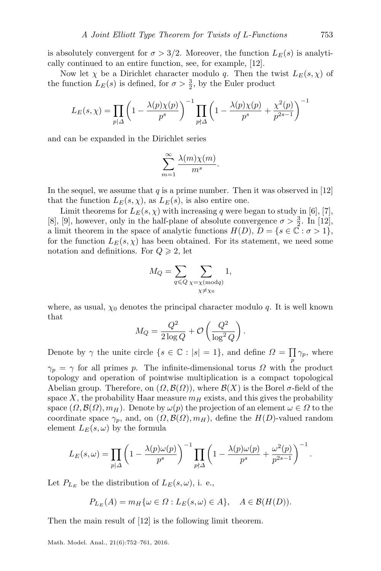is absolutely convergent for  $\sigma > 3/2$ . Moreover, the function  $L_E(s)$  is analytically continued to an entire function, see, for example, [\[12\]](#page-9-0).

Now let  $\chi$  be a Dirichlet character modulo q. Then the twist  $L_E(s, \chi)$  of the function  $L_E(s)$  is defined, for  $\sigma > \frac{3}{2}$ , by the Euler product

$$
L_E(s,\chi) = \prod_{p|\Delta} \left(1 - \frac{\lambda(p)\chi(p)}{p^s}\right)^{-1} \prod_{p\nmid\Delta} \left(1 - \frac{\lambda(p)\chi(p)}{p^s} + \frac{\chi^2(p)}{p^{2s-1}}\right)^{-1}
$$

and can be expanded in the Dirichlet series

$$
\sum_{m=1}^{\infty} \frac{\lambda(m)\chi(m)}{m^s}.
$$

In the sequel, we assume that  $q$  is a prime number. Then it was observed in [\[12\]](#page-9-0) that the function  $L_E(s, \chi)$ , as  $L_E(s)$ , is also entire one.

Limit theorems for  $L_E(s, \chi)$  with increasing q were began to study in [\[6\]](#page-9-1), [\[7\]](#page-9-2), [\[8\]](#page-9-3), [\[9\]](#page-9-4), however, only in the half-plane of absolute convergence  $\sigma > \frac{3}{2}$ . In [\[12\]](#page-9-0), a limit theorem in the space of analytic functions  $H(D)$ ,  $D = \{s \in \mathbb{C} : \sigma > 1\},\$ for the function  $L_E(s, \chi)$  has been obtained. For its statement, we need some notation and definitions. For  $Q \geq 2$ , let

$$
M_Q = \sum_{q \leq Q} \sum_{\substack{\chi = \chi \pmod{q} \\ \chi \neq \chi_0}} 1,
$$

where, as usual,  $\chi_0$  denotes the principal character modulo q. It is well known that

$$
M_Q = \frac{Q^2}{2 \log Q} + \mathcal{O}\left(\frac{Q^2}{\log^2 Q}\right).
$$

Denote by  $\gamma$  the unite circle  $\{s \in \mathbb{C} : |s| = 1\}$ , and define  $\Omega = \prod_{p} \gamma_p$ , where p

 $\gamma_p = \gamma$  for all primes p. The infinite-dimensional torus  $\Omega$  with the product topology and operation of pointwise multiplication is a compact topological Abelian group. Therefore, on  $(\Omega, \mathcal{B}(\Omega))$ , where  $\mathcal{B}(X)$  is the Borel  $\sigma$ -field of the space X, the probability Haar measure  $m<sub>H</sub>$  exists, and this gives the probability space  $(\Omega, \mathcal{B}(\Omega), m_H)$ . Denote by  $\omega(p)$  the projection of an element  $\omega \in \Omega$  to the coordinate space  $\gamma_p$ , and, on  $(\Omega, \mathcal{B}(\Omega), m_H)$ , define the  $H(D)$ -valued random element  $L_E(s, \omega)$  by the formula

$$
L_E(s,\omega) = \prod_{p|\Delta} \left(1 - \frac{\lambda(p)\omega(p)}{p^s}\right)^{-1} \prod_{p\nmid\Delta} \left(1 - \frac{\lambda(p)\omega(p)}{p^s} + \frac{\omega^2(p)}{p^{2s-1}}\right)^{-1}.
$$

Let  $P_{L_E}$  be the distribution of  $L_E(s, \omega)$ , i. e.,

$$
P_{L_E}(A) = m_H \{ \omega \in \Omega : L_E(s, \omega) \in A \}, \quad A \in \mathcal{B}(H(D)).
$$

<span id="page-1-0"></span>Then the main result of [\[12\]](#page-9-0) is the following limit theorem.

Math. Model. Anal., 21(6):752–761, 2016.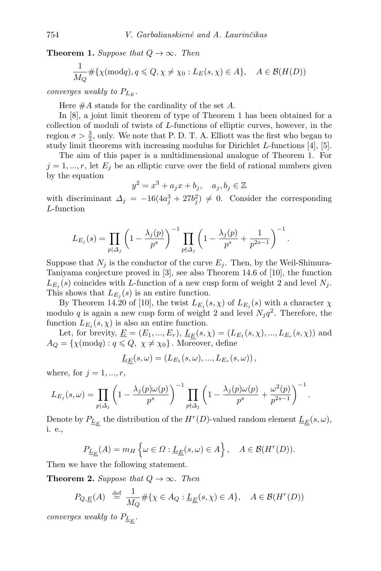**Theorem 1.** Suppose that  $Q \rightarrow \infty$ . Then

$$
\frac{1}{M_Q} \# \{ \chi(\text{mod}q), q \leq Q, \chi \neq \chi_0 : L_E(s, \chi) \in A \}, \quad A \in \mathcal{B}(H(D))
$$

converges weakly to  $P_{L_{\mathcal{F}}}$ .

Here  $#A$  stands for the cardinality of the set  $A$ .

In [\[8\]](#page-9-3), a joint limit theorem of type of Theorem [1](#page-1-0) has been obtained for a collection of moduli of twists of L-functions of elliptic curves, however, in the region  $\sigma > \frac{3}{2}$ , only. We note that P. D. T. A. Elliott was the first who began to study limit theorems with increasing modulus for Dirichlet L-functions [\[4\]](#page-8-0), [\[5\]](#page-8-1).

The aim of this paper is a multidimensional analogue of Theorem [1.](#page-1-0) For  $j = 1, ..., r$ , let  $E_j$  be an elliptic curve over the field of rational numbers given by the equation

$$
y^2 = x^3 + a_j x + b_j, \quad a_j, b_j \in \mathbb{Z}
$$

with discriminant  $\Delta_j = -16(4a_j^3 + 27b_j^2) \neq 0$ . Consider the corresponding L-function

.

.

$$
L_{E_j}(s) = \prod_{p | \Delta_j} \left( 1 - \frac{\lambda_j(p)}{p^s} \right)^{-1} \prod_{p \nmid \Delta_j} \left( 1 - \frac{\lambda_j(p)}{p^s} + \frac{1}{p^{2s-1}} \right)^{-1}
$$

Suppose that  $N_i$  is the conductor of the curve  $E_i$ . Then, by the Weil-Shimura-Taniyama conjecture proved in [\[3\]](#page-8-2), see also Theorem 14.6 of [\[10\]](#page-9-5), the function  $L_{E_j}(s)$  coincides with L-function of a new cusp form of weight 2 and level  $N_j$ . This shows that  $L_{E_j}(s)$  is an entire function.

By Theorem 14.20 of [\[10\]](#page-9-5), the twist  $L_{E_j}(s, \chi)$  of  $L_{E_j}(s)$  with a character  $\chi$ modulo q is again a new cusp form of weight 2 and level  $N_j q^2$ . Therefore, the function  $L_{E_j}(s, \chi)$  is also an entire function.

Let, for brevity,  $\underline{E} = (E_1, ..., E_r)$ ,  $\underline{L}_{\underline{E}}(s, \chi) = (L_{E_1}(s, \chi), ..., L_{E_r}(s, \chi))$  and  $A_Q = \{ \chi(\text{mod}q) : q \leq Q, \ \chi \neq \chi_0 \}.$  Moreover, define

$$
\underline{L}_{\underline{E}}(s,\omega) = (L_{E_1}(s,\omega),...,L_{E_r}(s,\omega)),
$$

where, for  $j = 1, ..., r$ ,

$$
L_{E_j}(s,\omega) = \prod_{p|\Delta_j} \left(1 - \frac{\lambda_j(p)\omega(p)}{p^s}\right)^{-1} \prod_{p\nmid\Delta_j} \left(1 - \frac{\lambda_j(p)\omega(p)}{p^s} + \frac{\omega^2(p)}{p^{2s-1}}\right)^{-1}
$$

Denote by  $P_{\underline{L}_E}$  the distribution of the  $H^r(D)$ -valued random element  $\underline{L}_E(s,\omega),$ i. e.,

$$
P_{\underline{L}_{\underline{E}}}(A) = m_H \left\{ \omega \in \Omega : \underline{L}_{\underline{E}}(s, \omega) \in A \right\}, \quad A \in \mathcal{B}(H^r(D)).
$$

Then we have the following statement.

**Theorem 2.** Suppose that  $Q \rightarrow \infty$ . Then

$$
P_{Q,\underline{E}}(A) \stackrel{\text{def}}{=} \frac{1}{M_Q} \# \{ \chi \in A_Q : \underline{L_E}(s, \chi) \in A \}, \quad A \in \mathcal{B}(H^r(D))
$$

converges weakly to  $P_{\underline{L}_E}$ .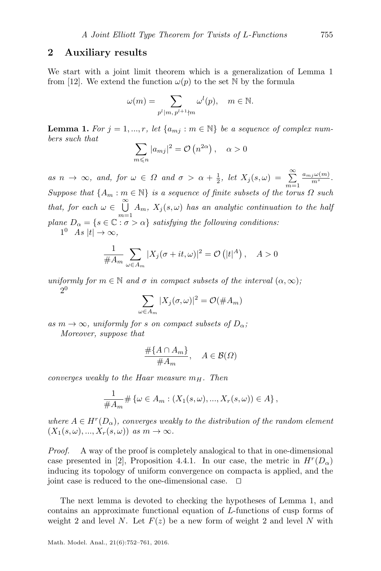#### 2 Auxiliary results

We start with a joint limit theorem which is a generalization of Lemma 1 from [\[12\]](#page-9-0). We extend the function  $\omega(p)$  to the set N by the formula

$$
\omega(m) = \sum_{p^l \mid m, \, p^{l+1} \nmid m} \omega^l(p), \quad m \in \mathbb{N}.
$$

<span id="page-3-0"></span>**Lemma 1.** For  $j = 1, ..., r$ , let  $\{a_{mj} : m \in \mathbb{N}\}\$  be a sequence of complex numbers such that

$$
\sum_{m \leqslant n} |a_{mj}|^2 = \mathcal{O}\left(n^{2\alpha}\right), \quad \alpha > 0
$$

as  $n \to \infty$ , and, for  $\omega \in \Omega$  and  $\sigma > \alpha + \frac{1}{2}$ , let  $X_j(s, \omega) = \sum_{m=1}^{\infty}$  $\frac{a_{mj}\omega(m)}{m^s}.$ Suppose that  $\{A_m : m \in \mathbb{N}\}\$ is a sequence of finite subsets of the torus  $\Omega$  such that, for each  $\omega \in \bigcup^{\infty}$  $\bigcup_{m=1} A_m$ ,  $X_j(s,\omega)$  has an analytic continuation to the half plane  $D_{\alpha} = \{s \in \mathbb{C} : \sigma > \alpha\}$  satisfying the following conditions:

 $1^0$  As  $|t| \to \infty$ ,

$$
\frac{1}{\#A_m} \sum_{\omega \in A_m} |X_j(\sigma + it, \omega)|^2 = \mathcal{O}(|t|^A), \quad A > 0
$$

uniformly for  $m \in \mathbb{N}$  and  $\sigma$  in compact subsets of the interval  $(\alpha, \infty)$ ; 2 0

$$
\sum_{\omega \in A_m} |X_j(\sigma, \omega)|^2 = \mathcal{O}(\#A_m)
$$

as  $m \to \infty$ , uniformly for s on compact subsets of  $D_{\alpha}$ ; Moreover, suppose that

$$
\frac{\#\{A \cap A_m\}}{\#A_m}, \quad A \in \mathcal{B}(\Omega)
$$

converges weakly to the Haar measure  $m_H$ . Then

$$
\frac{1}{\#A_m} \# \{ \omega \in A_m : (X_1(s, \omega), ..., X_r(s, \omega)) \in A \},
$$

where  $A \in H^r(D_\alpha)$ , converges weakly to the distribution of the random element  $(X_1(s, \omega), ..., X_r(s, \omega))$  as  $m \to \infty$ .

Proof. A way of the proof is completely analogical to that in one-dimensional case presented in [\[2\]](#page-8-3), Proposition 4.4.1. In our case, the metric in  $H^r(D_0)$ inducing its topology of uniform convergence on compacta is applied, and the joint case is reduced to the one-dimensional case.  $\Box$ 

The next lemma is devoted to checking the hypotheses of Lemma [1,](#page-3-0) and contains an approximate functional equation of L-functions of cusp forms of weight 2 and level N. Let  $F(z)$  be a new form of weight 2 and level N with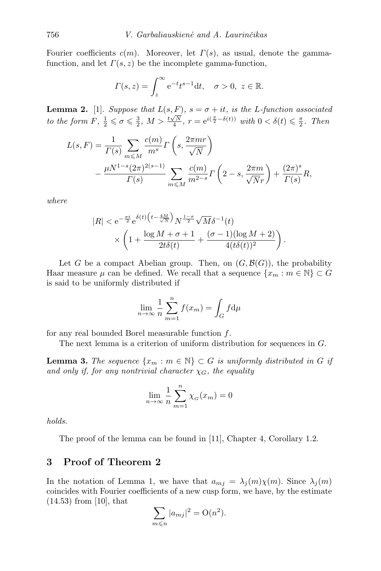Fourier coefficients  $c(m)$ . Moreover, let  $\Gamma(s)$ , as usual, denote the gammafunction, and let  $\Gamma(s, z)$  be the incomplete gamma-function,

$$
\Gamma(s,z) = \int_z^{\infty} e^{-t} t^{s-1} dt, \quad \sigma > 0, \ z \in \mathbb{R}.
$$

<span id="page-4-0"></span>**Lemma 2.** [\[1\]](#page-8-4). Suppose that  $L(s, F)$ ,  $s = \sigma + it$ , is the L-function associated to the form  $F$ ,  $\frac{1}{2} \leq \sigma \leq \frac{3}{2}$ ,  $M > \frac{t\sqrt{N}}{4}$ ,  $r = e^{i(\frac{\pi}{2} - \delta(t))}$  with  $0 < \delta(t) \leq \frac{\pi}{2}$ . Then

$$
L(s, F) = \frac{1}{\Gamma(s)} \sum_{m \le M} \frac{c(m)}{m^s} \Gamma\left(s, \frac{2\pi mr}{\sqrt{N}}\right)
$$
  
- 
$$
\frac{\mu N^{1-s} (2\pi)^{2(s-1)}}{\Gamma(s)} \sum_{m \le M} \frac{c(m)}{m^{2-s}} \Gamma\left(2-s, \frac{2\pi m}{\sqrt{N}r}\right) + \frac{(2\pi)^s}{\Gamma(s)} R,
$$

where

$$
\begin{aligned}|R|&<\mathrm{e}^{-\frac{\pi t}{2}}\mathrm{e}^{\delta(t)\left(t-\frac{4M}{\sqrt{N}}\right)}N^{\frac{1-\sigma}{2}}\sqrt{M}\delta^{-1}(t)\\&\times\left(1+\frac{\log M+\sigma+1}{2t\delta(t)}+\frac{(\sigma-1)(\log M+2)}{4(t\delta(t))^2}\right).\end{aligned}
$$

Let G be a compact Abelian group. Then, on  $(G,\mathcal{B}(G))$ , the probability Haar measure  $\mu$  can be defined. We recall that a sequence  $\{x_m : m \in \mathbb{N}\}\subset G$ is said to be uniformly distributed if

$$
\lim_{n \to \infty} \frac{1}{n} \sum_{m=1}^{n} f(x_m) = \int_{G} f d\mu
$$

for any real bounded Borel measurable function  $f$ .

The next lemma is a criterion of uniform distribution for sequences in G.

<span id="page-4-1"></span>**Lemma 3.** The sequence  $\{x_m : m \in \mathbb{N}\}\subset G$  is uniformly distributed in G if and only if, for any nontrivial character  $\chi_G$ , the equality

$$
\lim_{n \to \infty} \frac{1}{n} \sum_{m=1}^{n} \chi_G(x_m) = 0
$$

holds.

The proof of the lemma can be found in [\[11\]](#page-9-6), Chapter 4, Corollary 1.2.

### 3 Proof of Theorem 2

In the notation of Lemma [1,](#page-3-0) we have that  $a_{m} = \lambda_i(m)\chi(m)$ . Since  $\lambda_i(m)$ coincides with Fourier coefficients of a new cusp form, we have, by the estimate (14.53) from [\[10\]](#page-9-5), that

$$
\sum_{m \leqslant n} |a_{mj}|^2 = \mathcal{O}(n^2).
$$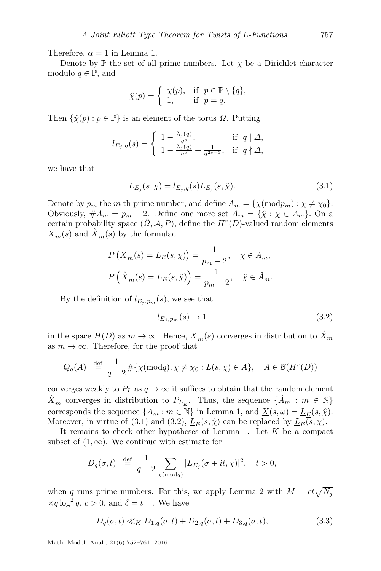Therefore,  $\alpha = 1$  in Lemma [1.](#page-3-0)

Denote by  $\mathbb P$  the set of all prime numbers. Let  $\chi$  be a Dirichlet character modulo  $q \in \mathbb{P}$ , and

$$
\hat{\chi}(p) = \begin{cases} \chi(p), & \text{if } p \in \mathbb{P} \setminus \{q\}, \\ 1, & \text{if } p = q. \end{cases}
$$

Then  $\{\hat{\chi}(p) : p \in \mathbb{P}\}\$ is an element of the torus  $\Omega$ . Putting

$$
l_{E_j,q}(s) = \begin{cases} 1 - \frac{\lambda_j(q)}{q^s}, & \text{if } q \mid \Delta, \\ 1 - \frac{\lambda_j(q)}{q^s} + \frac{1}{q^{2s-1}}, & \text{if } q \nmid \Delta, \end{cases}
$$

we have that

<span id="page-5-0"></span>
$$
L_{E_j}(s,\chi) = l_{E_j,q}(s)L_{E_j}(s,\hat{\chi}).
$$
\n(3.1)

Denote by  $p_m$  the m th prime number, and define  $A_m = \{ \chi (\text{mod} p_m) : \chi \neq \chi_0 \}.$ Obviously,  $#A_m = p_m - 2$ . Define one more set  $\hat{A}_m = {\hat{\chi}} : \chi \in A_m$ . On a certain probability space  $(\hat{\Omega}, \mathcal{A}, P)$ , define the  $H^r(D)$ -valued random elements  $\underline{X}_m(s)$  and  $\underline{\hat{X}}_m(s)$  by the formulae

$$
P(\underline{X}_m(s) = L_{\underline{E}}(s, \chi)) = \frac{1}{p_m - 2}, \quad \chi \in A_m,
$$
  

$$
P(\hat{\underline{X}}_m(s) = L_{\underline{E}}(s, \hat{\chi})) = \frac{1}{p_m - 2}, \quad \hat{\chi} \in \hat{A}_m.
$$

By the definition of  $l_{E_i,p_m}(s)$ , we see that

<span id="page-5-1"></span>
$$
l_{E_j, p_m}(s) \to 1 \tag{3.2}
$$

in the space  $H(D)$  as  $m \to \infty$ . Hence,  $\underline{X}_m(s)$  converges in distribution to  $\overline{X}_m$ as  $m \to \infty$ . Therefore, for the proof that

$$
Q_q(A) \stackrel{\text{def}}{=} \frac{1}{q-2} \# \{ \chi(\text{mod}q), \chi \neq \chi_0 : \underline{L}(s, \chi) \in A \}, \quad A \in \mathcal{B}(H^r(D))
$$

converges weakly to  $P_{\underline{L}}$  as  $q \to \infty$  it suffices to obtain that the random element  $\underline{\hat{X}}_m$  converges in distribution to  $P_{\underline{L}_E}$ . Thus, the sequence  $\{\hat{A}_m : m \in \mathbb{N}\}\$ corresponds the sequence  $\{A_m : m \in \overline{\mathbb{N}}\}$  in Lemma [1,](#page-3-0) and  $\underline{X}(s, \omega) = \underline{L}_E(s, \hat{\chi})$ . Moreover, in virtue of [\(3.1\)](#page-5-0) and [\(3.2\)](#page-5-1),  $L_E(s, \hat{\chi})$  can be replaced by  $L_E(s, \chi)$ .

It remains to check other hypotheses of Lemma [1.](#page-3-0) Let  $K$  be a compact subset of  $(1, \infty)$ . We continue with estimate for

$$
D_q(\sigma, t) \stackrel{\text{def}}{=} \frac{1}{q-2} \sum_{\chi \pmod{q}} |L_{E_j}(\sigma + it, \chi)|^2, \quad t > 0,
$$

when q runs prime numbers. For this, we apply Lemma [2](#page-4-0) with  $M = ct\sqrt{N_j}$  $\times q \log^2 q$ ,  $c > 0$ , and  $\delta = t^{-1}$ . We have

<span id="page-5-2"></span>
$$
D_q(\sigma, t) \ll_K D_{1,q}(\sigma, t) + D_{2,q}(\sigma, t) + D_{3,q}(\sigma, t),
$$
\n(3.3)

Math. Model. Anal., 21(6):752–761, 2016.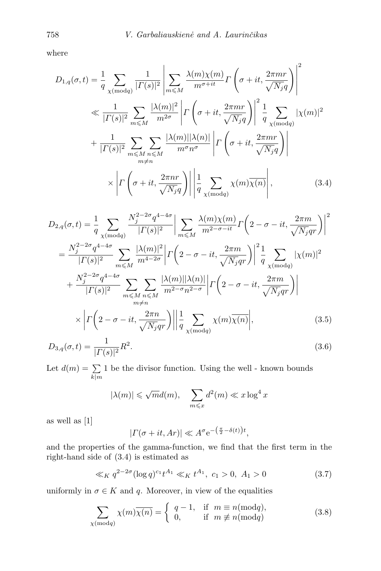where

$$
D_{1,q}(\sigma,t) = \frac{1}{q} \sum_{\chi \pmod{q}} \frac{1}{|\Gamma(s)|^2} \left| \sum_{m \le M} \frac{\lambda(m)\chi(m)}{m^{\sigma+it}} \Gamma\left(\sigma+it, \frac{2\pi mr}{\sqrt{N_j}q}\right) \right|^2
$$
  
\n
$$
\ll \frac{1}{|\Gamma(s)|^2} \sum_{m \le M} \frac{|\lambda(m)|^2}{m^{2\sigma}} \left| \Gamma\left(\sigma+it, \frac{2\pi mr}{\sqrt{N_j}q}\right) \right|^2 \frac{1}{q} \sum_{\chi \pmod{q}} |\chi(m)|^2
$$
  
\n
$$
+ \frac{1}{|\Gamma(s)|^2} \sum_{m \le M} \sum_{n \le M} \frac{|\lambda(m)| |\lambda(n)|}{m^{\sigma}n^{\sigma}} \left| \Gamma\left(\sigma+it, \frac{2\pi mr}{\sqrt{N_j}q}\right) \right|
$$
  
\n
$$
\times \left| \Gamma\left(\sigma+it, \frac{2\pi nr}{\sqrt{N_j}q}\right) \right| \left| \frac{1}{q} \sum_{\chi \pmod{q}} \chi(m) \overline{\chi(n)} \right|,
$$
(3.4)

<span id="page-6-0"></span>
$$
D_{2,q}(\sigma, t) = \frac{1}{q} \sum_{\chi \pmod{q}} \frac{N_j^{2-2\sigma} q^{4-4\sigma}}{|\Gamma(s)|^2} \Big| \sum_{m \le M} \frac{\lambda(m)\chi(m)}{m^{2-\sigma - it}} \Gamma\left(2 - \sigma - it, \frac{2\pi m}{\sqrt{N_j}qr}\right) \Big|^2
$$
  
\n
$$
= \frac{N_j^{2-2\sigma} q^{4-4\sigma}}{|\Gamma(s)|^2} \sum_{m \le M} \frac{|\lambda(m)|^2}{m^{4-2\sigma}} \Big| \Gamma\left(2 - \sigma - it, \frac{2\pi m}{\sqrt{N_j}qr}\right) \Big|^2 \frac{1}{q} \sum_{\chi \pmod{q}} |\chi(m)|^2
$$
  
\n
$$
+ \frac{N_j^{2-2\sigma} q^{4-4\sigma}}{|\Gamma(s)|^2} \sum_{m \le M} \sum_{n \le M} \frac{|\lambda(m)| |\lambda(n)|}{m^{2-\sigma} n^{2-\sigma}} \Big| \Gamma\left(2 - \sigma - it, \frac{2\pi m}{\sqrt{N_j}qr}\right) \Big|
$$
  
\n
$$
\times \Big| \Gamma\left(2 - \sigma - it, \frac{2\pi n}{\sqrt{N_j}qr}\right) \Big| \Big| \frac{1}{q} \sum_{\chi \pmod{q}} \chi(m)\overline{\chi(n)} \Big|,
$$
  
\n
$$
D_{3,q}(\sigma, t) = \frac{1}{|\Gamma(s)|^2} R^2.
$$
  
\n(3.6)

Let  $d(m) = \sum$  $k|m$ 1 be the divisor function. Using the well - known bounds

$$
|\lambda(m)| \leqslant \sqrt{m}d(m), \quad \sum_{m \leqslant x} d^2(m) \ll x \log^4 x
$$

as well as [\[1\]](#page-8-4)

$$
|\Gamma(\sigma+it, Ar)| \ll A^{\sigma} e^{-\left(\frac{\pi}{2} - \delta(t)\right)t},
$$

and the properties of the gamma-function, we find that the first term in the right-hand side of [\(3.4\)](#page-6-0) is estimated as

<span id="page-6-1"></span>
$$
\ll_K q^{2-2\sigma} (\log q)^{c_1} t^{A_1} \ll_K t^{A_1}, \ c_1 > 0, \ A_1 > 0 \tag{3.7}
$$

uniformly in  $\sigma \in K$  and q. Moreover, in view of the equalities

<span id="page-6-2"></span>
$$
\sum_{\chi(\text{mod}q)} \chi(m)\overline{\chi(n)} = \begin{cases} q-1, & \text{if } m \equiv n(\text{mod}q), \\ 0, & \text{if } m \not\equiv n(\text{mod}q) \end{cases}
$$
 (3.8)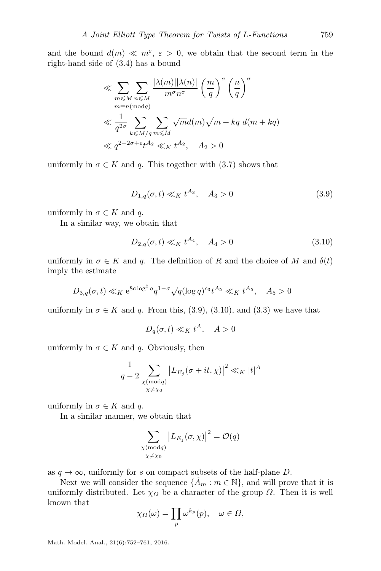and the bound  $d(m) \ll m^{\epsilon}, \epsilon > 0$ , we obtain that the second term in the right-hand side of [\(3.4\)](#page-6-0) has a bound

$$
\ll \sum_{m \leq M} \sum_{n \leq M} \frac{|\lambda(m)| |\lambda(n)|}{m^{\sigma} n^{\sigma}} \left(\frac{m}{q}\right)^{\sigma} \left(\frac{n}{q}\right)^{\sigma}
$$
  
\n
$$
\ll \frac{1}{q^{2\sigma}} \sum_{k \leq M/q} \sum_{m \leq M} \sqrt{m} d(m) \sqrt{m + kq} d(m + kq)
$$
  
\n
$$
\ll q^{2-2\sigma + \varepsilon} t^{A_2} \ll_K t^{A_2}, \quad A_2 > 0
$$

uniformly in  $\sigma \in K$  and q. This together with [\(3.7\)](#page-6-1) shows that

<span id="page-7-0"></span>
$$
D_{1,q}(\sigma, t) \ll_K t^{A_3}, \quad A_3 > 0 \tag{3.9}
$$

uniformly in  $\sigma \in K$  and q.

In a similar way, we obtain that

<span id="page-7-1"></span>
$$
D_{2,q}(\sigma, t) \ll_K t^{A_4}, \quad A_4 > 0 \tag{3.10}
$$

uniformly in  $\sigma \in K$  and q. The definition of R and the choice of M and  $\delta(t)$ imply the estimate

$$
D_{3,q}(\sigma, t) \ll_K e^{8c \log^2 q} q^{1-\sigma} \sqrt{q} (\log q)^{c_3} t^{A_5} \ll_K t^{A_5}, \quad A_5 > 0
$$

uniformly in  $\sigma \in K$  and q. From this, [\(3.9\)](#page-7-0), [\(3.10\)](#page-7-1), and [\(3.3\)](#page-5-2) we have that

$$
D_q(\sigma, t) \ll_K t^A, \quad A > 0
$$

uniformly in  $\sigma \in K$  and q. Obviously, then

$$
\frac{1}{q-2} \sum_{\substack{\chi \pmod{q} \\ \chi \neq \chi_0}} |L_{E_j}(\sigma+it,\chi)|^2 \ll_K |t|^A
$$

uniformly in  $\sigma \in K$  and q.

In a similar manner, we obtain that

$$
\sum_{\substack{\chi \, (\text{mod} \, q) \\ \chi \neq \chi_0}} \big| L_{E_j}(\sigma, \chi) \big|^2 = \mathcal{O}(q)
$$

as  $q \to \infty$ , uniformly for s on compact subsets of the half-plane D.

Next we will consider the sequence  $\{\hat{A}_m : m \in \mathbb{N}\}\)$ , and will prove that it is uniformly distributed. Let  $\chi_{\Omega}$  be a character of the group  $\Omega$ . Then it is well known that

$$
\chi_{\Omega}(\omega) = \prod_{p} \omega^{k_p}(p), \quad \omega \in \Omega,
$$

Math. Model. Anal., 21(6):752–761, 2016.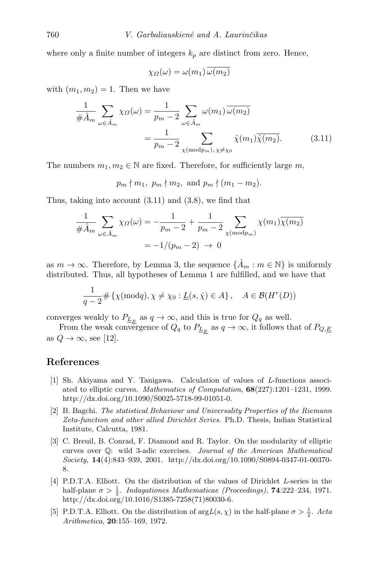where only a finite number of integers  $k_p$  are distinct from zero. Hence,

<span id="page-8-5"></span>
$$
\chi_{\Omega}(\omega) = \omega(m_1) \overline{\omega(m_2)}
$$

with  $(m_1, m_2) = 1$ . Then we have

$$
\frac{1}{\#\hat{A}_m} \sum_{\omega \in \hat{A}_m} \chi_{\Omega}(\omega) = \frac{1}{p_m - 2} \sum_{\omega \in \hat{A}_m} \omega(m_1) \overline{\omega(m_2)}
$$

$$
= \frac{1}{p_m - 2} \sum_{\chi \text{(mod} p_m), \chi \neq \chi_0} \hat{\chi}(m_1) \overline{\hat{\chi}(m_2)}.
$$
(3.11)

The numbers  $m_1, m_2 \in \mathbb{N}$  are fixed. Therefore, for sufficiently large m,

$$
p_m \nmid m_1, p_m \nmid m_2, \text{ and } p_m \nmid (m_1 - m_2).
$$

Thus, taking into account [\(3.11\)](#page-8-5) and [\(3.8\)](#page-6-2), we find that

$$
\frac{1}{\#\hat{A}_m} \sum_{\omega \in \hat{A}_m} \chi_{\Omega}(\omega) = -\frac{1}{p_m - 2} + \frac{1}{p_m - 2} \sum_{\chi \text{ (mod } p_m)} \chi(m_1) \overline{\chi(m_2)}
$$

$$
= -1/(p_m - 2) \to 0
$$

as  $m \to \infty$ . Therefore, by Lemma [3,](#page-4-1) the sequence  $\{\hat{A}_m : m \in \mathbb{N}\}\$ is uniformly distributed. Thus, all hypotheses of Lemma [1](#page-3-0) are fulfilled, and we have that

$$
\frac{1}{q-2} \# \left\{ \chi(\text{mod}q), \chi \neq \chi_0 : \underline{L}(s, \hat{\chi}) \in A \right\}, \quad A \in \mathcal{B}(H^r(D))
$$

converges weakly to  $P_{\underline{L}_E}$  as  $q \to \infty$ , and this is true for  $Q_q$  as well.

From the weak convergence of  $Q_q$  to  $P_{\underline{L}_E}$  as  $q \to \infty$ , it follows that of  $P_{Q,\underline{E}}$ as  $Q \rightarrow \infty$ , see [\[12\]](#page-9-0).

#### References

- <span id="page-8-4"></span>[1] Sh. Akiyama and Y. Tanigawa. Calculation of values of L-functions associated to elliptic curves. Mathematics of Computation, 68(227):1201–1231, 1999. [http://dx.doi.org/10.1090/S0025-5718-99-01051-0.](http://dx.doi.org/10.1090/S0025-5718-99-01051-0)
- <span id="page-8-3"></span>[2] B. Bagchi. The statistical Behaviour and Universality Properties of the Riemann Zeta-function and other allied Dirichlet Series. Ph.D. Thesis, Indian Statistical Institute, Calcutta, 1981.
- <span id="page-8-2"></span>[3] C. Breuil, B. Conrad, F. Diamond and R. Taylor. On the modularity of elliptic curves over Q: wild 3-adic exercises. Journal of the American Mathematical Society, 14(4):843–939, 2001. [http://dx.doi.org/10.1090/S0894-0347-01-00370-](http://dx.doi.org/10.1090/S0894-0347-01-00370-8) [8.](http://dx.doi.org/10.1090/S0894-0347-01-00370-8)
- <span id="page-8-0"></span>[4] P.D.T.A. Elliott. On the distribution of the values of Dirichlet L-series in the half-plane  $\sigma > \frac{1}{2}$ . Indagationes Mathematicae (Proceedings), **74**:222-234, 1971. [http://dx.doi.org/10.1016/S1385-7258\(71\)80030-6.](http://dx.doi.org/10.1016/S1385-7258(71)80030-6)
- <span id="page-8-1"></span>[5] P.D.T.A. Elliott. On the distribution of  $\arg L(s, \chi)$  in the half-plane  $\sigma > \frac{1}{2}$ . Acta Arithmetica, 20:155–169, 1972.